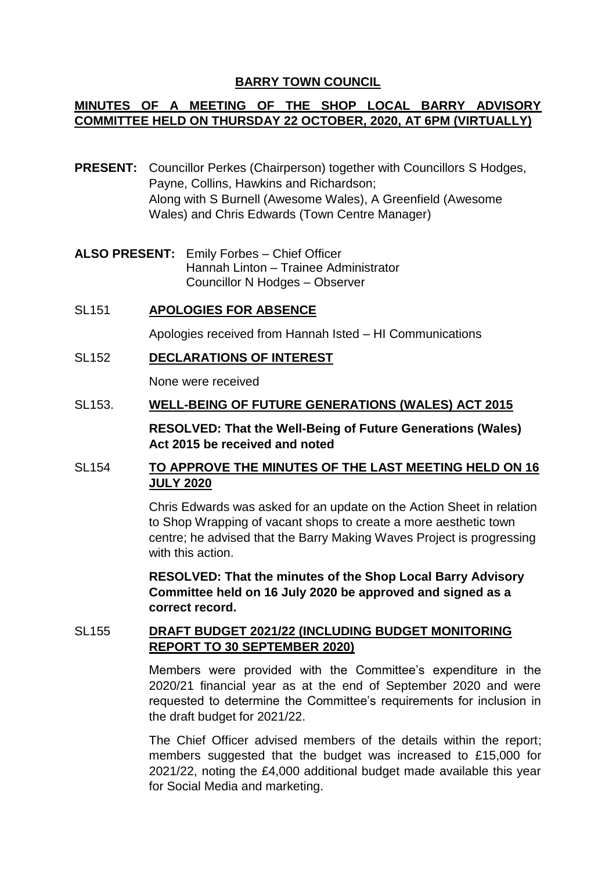# **BARRY TOWN COUNCIL**

## **MINUTES OF A MEETING OF THE SHOP LOCAL BARRY ADVISORY COMMITTEE HELD ON THURSDAY 22 OCTOBER, 2020, AT 6PM (VIRTUALLY)**

- **PRESENT:** Councillor Perkes (Chairperson) together with Councillors S Hodges, Payne, Collins, Hawkins and Richardson; Along with S Burnell (Awesome Wales), A Greenfield (Awesome Wales) and Chris Edwards (Town Centre Manager)
- **ALSO PRESENT:** Emily Forbes Chief Officer Hannah Linton – Trainee Administrator Councillor N Hodges – Observer
- SL151 **APOLOGIES FOR ABSENCE** Apologies received from Hannah Isted – HI Communications
- SL152 **DECLARATIONS OF INTEREST**

None were received

SL153. **WELL-BEING OF FUTURE GENERATIONS (WALES) ACT 2015**

**RESOLVED: That the Well-Being of Future Generations (Wales) Act 2015 be received and noted** 

### SL154 **TO APPROVE THE MINUTES OF THE LAST MEETING HELD ON 16 JULY 2020**

Chris Edwards was asked for an update on the Action Sheet in relation to Shop Wrapping of vacant shops to create a more aesthetic town centre; he advised that the Barry Making Waves Project is progressing with this action.

**RESOLVED: That the minutes of the Shop Local Barry Advisory Committee held on 16 July 2020 be approved and signed as a correct record.** 

### SL155 **DRAFT BUDGET 2021/22 (INCLUDING BUDGET MONITORING REPORT TO 30 SEPTEMBER 2020)**

Members were provided with the Committee's expenditure in the 2020/21 financial year as at the end of September 2020 and were requested to determine the Committee's requirements for inclusion in the draft budget for 2021/22.

The Chief Officer advised members of the details within the report; members suggested that the budget was increased to £15,000 for 2021/22, noting the £4,000 additional budget made available this year for Social Media and marketing.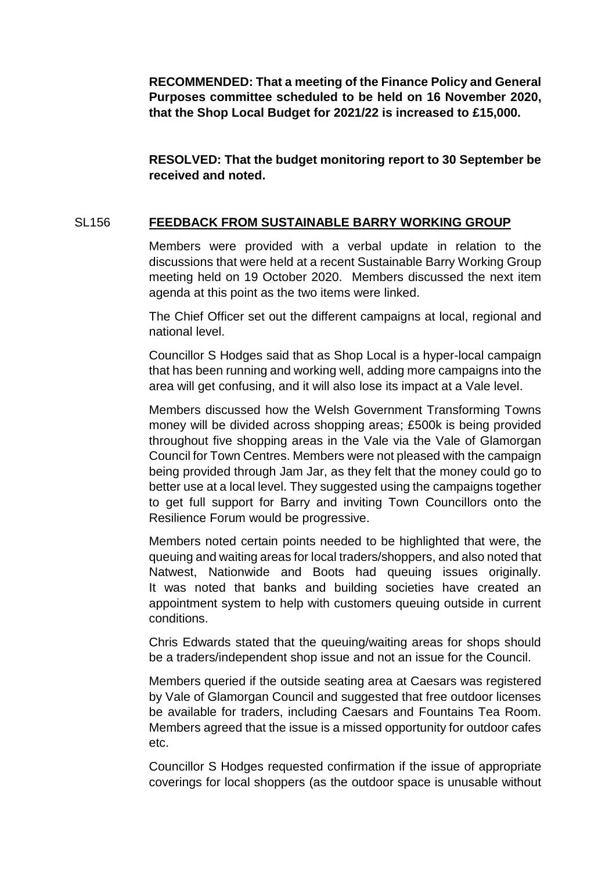**RECOMMENDED: That a meeting of the Finance Policy and General Purposes committee scheduled to be held on 16 November 2020, that the Shop Local Budget for 2021/22 is increased to £15,000.**

**RESOLVED: That the budget monitoring report to 30 September be received and noted.**

### SL156 **FEEDBACK FROM SUSTAINABLE BARRY WORKING GROUP**

Members were provided with a verbal update in relation to the discussions that were held at a recent Sustainable Barry Working Group meeting held on 19 October 2020. Members discussed the next item agenda at this point as the two items were linked.

The Chief Officer set out the different campaigns at local, regional and national level.

Councillor S Hodges said that as Shop Local is a hyper-local campaign that has been running and working well, adding more campaigns into the area will get confusing, and it will also lose its impact at a Vale level.

Members discussed how the Welsh Government Transforming Towns money will be divided across shopping areas; £500k is being provided throughout five shopping areas in the Vale via the Vale of Glamorgan Council for Town Centres. Members were not pleased with the campaign being provided through Jam Jar, as they felt that the money could go to better use at a local level. They suggested using the campaigns together to get full support for Barry and inviting Town Councillors onto the Resilience Forum would be progressive.

Members noted certain points needed to be highlighted that were, the queuing and waiting areas for local traders/shoppers, and also noted that Natwest, Nationwide and Boots had queuing issues originally. It was noted that banks and building societies have created an appointment system to help with customers queuing outside in current conditions.

Chris Edwards stated that the queuing/waiting areas for shops should be a traders/independent shop issue and not an issue for the Council.

Members queried if the outside seating area at Caesars was registered by Vale of Glamorgan Council and suggested that free outdoor licenses be available for traders, including Caesars and Fountains Tea Room. Members agreed that the issue is a missed opportunity for outdoor cafes etc.

Councillor S Hodges requested confirmation if the issue of appropriate coverings for local shoppers (as the outdoor space is unusable without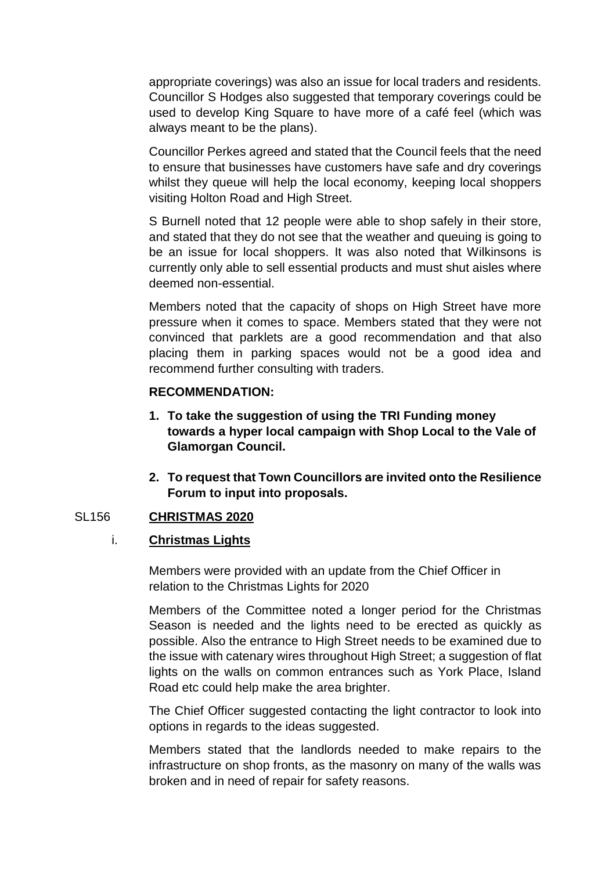appropriate coverings) was also an issue for local traders and residents. Councillor S Hodges also suggested that temporary coverings could be used to develop King Square to have more of a café feel (which was always meant to be the plans).

Councillor Perkes agreed and stated that the Council feels that the need to ensure that businesses have customers have safe and dry coverings whilst they queue will help the local economy, keeping local shoppers visiting Holton Road and High Street.

S Burnell noted that 12 people were able to shop safely in their store, and stated that they do not see that the weather and queuing is going to be an issue for local shoppers. It was also noted that Wilkinsons is currently only able to sell essential products and must shut aisles where deemed non-essential.

Members noted that the capacity of shops on High Street have more pressure when it comes to space. Members stated that they were not convinced that parklets are a good recommendation and that also placing them in parking spaces would not be a good idea and recommend further consulting with traders.

#### **RECOMMENDATION:**

- **1. To take the suggestion of using the TRI Funding money towards a hyper local campaign with Shop Local to the Vale of Glamorgan Council.**
- **2. To request that Town Councillors are invited onto the Resilience Forum to input into proposals.**

### SL156 **CHRISTMAS 2020**

### i. **Christmas Lights**

Members were provided with an update from the Chief Officer in relation to the Christmas Lights for 2020

Members of the Committee noted a longer period for the Christmas Season is needed and the lights need to be erected as quickly as possible. Also the entrance to High Street needs to be examined due to the issue with catenary wires throughout High Street; a suggestion of flat lights on the walls on common entrances such as York Place, Island Road etc could help make the area brighter.

The Chief Officer suggested contacting the light contractor to look into options in regards to the ideas suggested.

Members stated that the landlords needed to make repairs to the infrastructure on shop fronts, as the masonry on many of the walls was broken and in need of repair for safety reasons.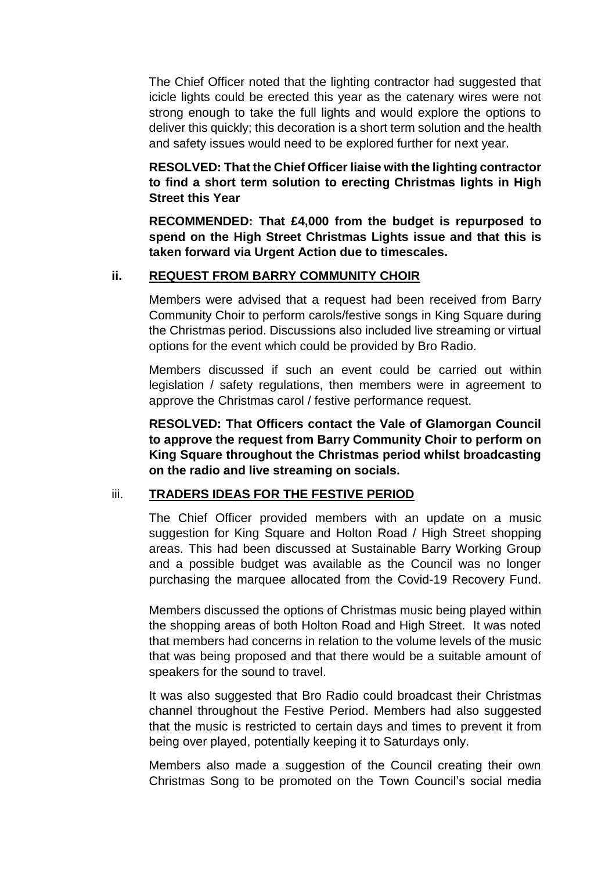The Chief Officer noted that the lighting contractor had suggested that icicle lights could be erected this year as the catenary wires were not strong enough to take the full lights and would explore the options to deliver this quickly; this decoration is a short term solution and the health and safety issues would need to be explored further for next year.

**RESOLVED: That the Chief Officer liaise with the lighting contractor to find a short term solution to erecting Christmas lights in High Street this Year**

**RECOMMENDED: That £4,000 from the budget is repurposed to spend on the High Street Christmas Lights issue and that this is taken forward via Urgent Action due to timescales.** 

### **ii. REQUEST FROM BARRY COMMUNITY CHOIR**

Members were advised that a request had been received from Barry Community Choir to perform carols/festive songs in King Square during the Christmas period. Discussions also included live streaming or virtual options for the event which could be provided by Bro Radio.

Members discussed if such an event could be carried out within legislation / safety regulations, then members were in agreement to approve the Christmas carol / festive performance request.

**RESOLVED: That Officers contact the Vale of Glamorgan Council to approve the request from Barry Community Choir to perform on King Square throughout the Christmas period whilst broadcasting on the radio and live streaming on socials.** 

# iii. **TRADERS IDEAS FOR THE FESTIVE PERIOD**

The Chief Officer provided members with an update on a music suggestion for King Square and Holton Road / High Street shopping areas. This had been discussed at Sustainable Barry Working Group and a possible budget was available as the Council was no longer purchasing the marquee allocated from the Covid-19 Recovery Fund.

Members discussed the options of Christmas music being played within the shopping areas of both Holton Road and High Street. It was noted that members had concerns in relation to the volume levels of the music that was being proposed and that there would be a suitable amount of speakers for the sound to travel.

It was also suggested that Bro Radio could broadcast their Christmas channel throughout the Festive Period. Members had also suggested that the music is restricted to certain days and times to prevent it from being over played, potentially keeping it to Saturdays only.

Members also made a suggestion of the Council creating their own Christmas Song to be promoted on the Town Council's social media